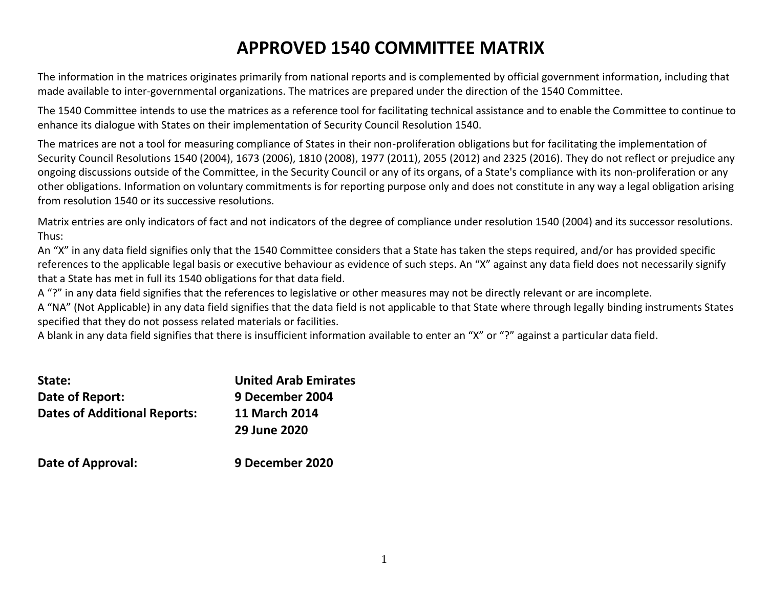# **APPROVED 1540 COMMITTEE MATRIX**

The information in the matrices originates primarily from national reports and is complemented by official government information, including that made available to inter-governmental organizations. The matrices are prepared under the direction of the 1540 Committee.

The 1540 Committee intends to use the matrices as a reference tool for facilitating technical assistance and to enable the Committee to continue to enhance its dialogue with States on their implementation of Security Council Resolution 1540.

The matrices are not a tool for measuring compliance of States in their non-proliferation obligations but for facilitating the implementation of Security Council Resolutions 1540 (2004), 1673 (2006), 1810 (2008), 1977 (2011), 2055 (2012) and 2325 (2016). They do not reflect or prejudice any ongoing discussions outside of the Committee, in the Security Council or any of its organs, of a State's compliance with its non-proliferation or any other obligations. Information on voluntary commitments is for reporting purpose only and does not constitute in any way a legal obligation arising from resolution 1540 or its successive resolutions.

Matrix entries are only indicators of fact and not indicators of the degree of compliance under resolution 1540 (2004) and its successor resolutions. Thus:

An "X" in any data field signifies only that the 1540 Committee considers that a State has taken the steps required, and/or has provided specific references to the applicable legal basis or executive behaviour as evidence of such steps. An "X" against any data field does not necessarily signify that a State has met in full its 1540 obligations for that data field.

A "?" in any data field signifies that the references to legislative or other measures may not be directly relevant or are incomplete.

A "NA" (Not Applicable) in any data field signifies that the data field is not applicable to that State where through legally binding instruments States specified that they do not possess related materials or facilities.

A blank in any data field signifies that there is insufficient information available to enter an "X" or "?" against a particular data field.

| <b>United Arab Emirates</b> |
|-----------------------------|
| 9 December 2004             |
| <b>11 March 2014</b>        |
| 29 June 2020                |
|                             |
|                             |

**Date of Approval: 9 December 2020**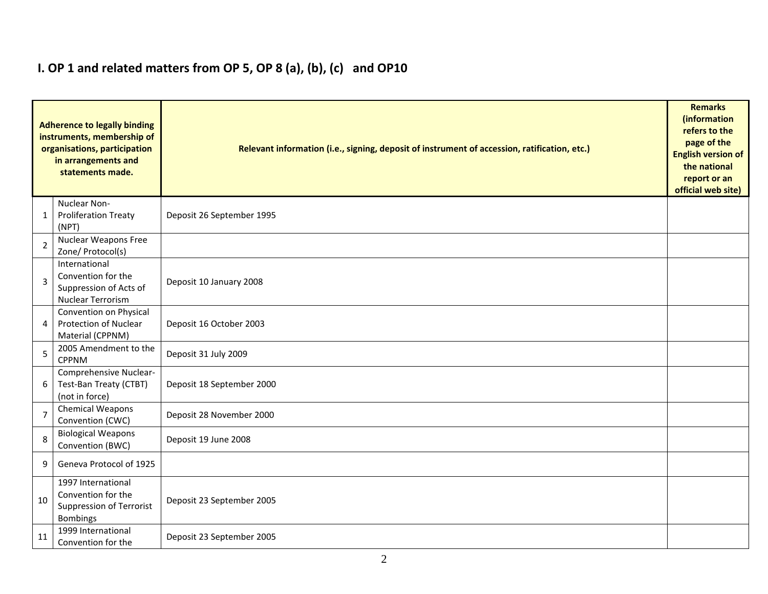## **I. OP 1 and related matters from OP 5, OP 8 (a), (b), (c) and OP10**

|                | <b>Adherence to legally binding</b><br>instruments, membership of<br>organisations, participation<br>in arrangements and<br>statements made. | Relevant information (i.e., signing, deposit of instrument of accession, ratification, etc.) |  |  |  |  |  |  |  |  |  |
|----------------|----------------------------------------------------------------------------------------------------------------------------------------------|----------------------------------------------------------------------------------------------|--|--|--|--|--|--|--|--|--|
| 1              | Nuclear Non-<br><b>Proliferation Treaty</b><br>(NPT)                                                                                         | Deposit 26 September 1995                                                                    |  |  |  |  |  |  |  |  |  |
| $\overline{2}$ | <b>Nuclear Weapons Free</b><br>Zone/ Protocol(s)                                                                                             |                                                                                              |  |  |  |  |  |  |  |  |  |
| 3              | International<br>Convention for the<br>Suppression of Acts of<br>Nuclear Terrorism                                                           | Deposit 10 January 2008                                                                      |  |  |  |  |  |  |  |  |  |
| 4              | Convention on Physical<br><b>Protection of Nuclear</b><br>Material (CPPNM)                                                                   | Deposit 16 October 2003                                                                      |  |  |  |  |  |  |  |  |  |
| 5              | 2005 Amendment to the<br><b>CPPNM</b>                                                                                                        | Deposit 31 July 2009                                                                         |  |  |  |  |  |  |  |  |  |
| 6              | Comprehensive Nuclear-<br>Test-Ban Treaty (CTBT)<br>(not in force)                                                                           | Deposit 18 September 2000                                                                    |  |  |  |  |  |  |  |  |  |
| 7              | <b>Chemical Weapons</b><br>Convention (CWC)                                                                                                  | Deposit 28 November 2000                                                                     |  |  |  |  |  |  |  |  |  |
| 8              | <b>Biological Weapons</b><br>Convention (BWC)                                                                                                | Deposit 19 June 2008                                                                         |  |  |  |  |  |  |  |  |  |
| 9              | Geneva Protocol of 1925                                                                                                                      |                                                                                              |  |  |  |  |  |  |  |  |  |
| 10             | 1997 International<br>Convention for the<br>Suppression of Terrorist<br>Bombings                                                             | Deposit 23 September 2005                                                                    |  |  |  |  |  |  |  |  |  |
| 11             | 1999 International<br>Convention for the                                                                                                     | Deposit 23 September 2005                                                                    |  |  |  |  |  |  |  |  |  |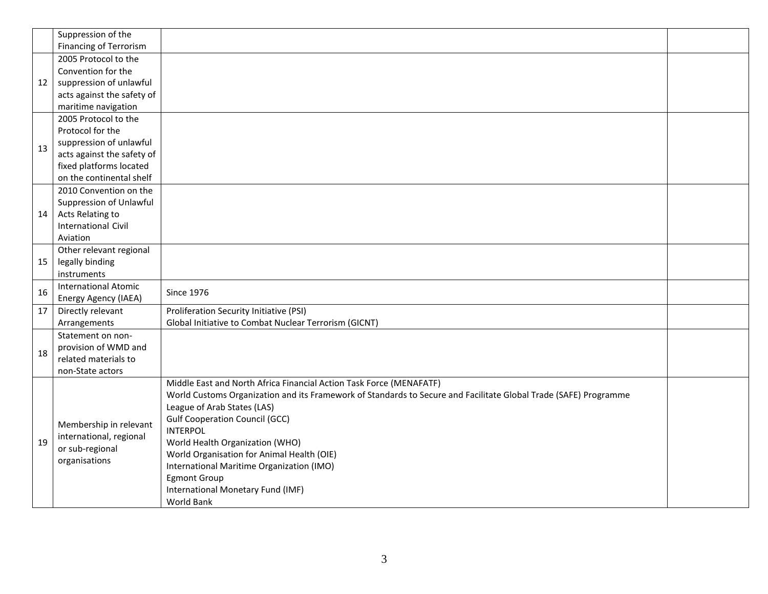|    | Suppression of the<br>Financing of Terrorism                                                                                                             |                                                                                                                                                                                                                                                                                                                                                                                                                                                                                            |  |
|----|----------------------------------------------------------------------------------------------------------------------------------------------------------|--------------------------------------------------------------------------------------------------------------------------------------------------------------------------------------------------------------------------------------------------------------------------------------------------------------------------------------------------------------------------------------------------------------------------------------------------------------------------------------------|--|
| 12 | 2005 Protocol to the<br>Convention for the<br>suppression of unlawful<br>acts against the safety of<br>maritime navigation                               |                                                                                                                                                                                                                                                                                                                                                                                                                                                                                            |  |
| 13 | 2005 Protocol to the<br>Protocol for the<br>suppression of unlawful<br>acts against the safety of<br>fixed platforms located<br>on the continental shelf |                                                                                                                                                                                                                                                                                                                                                                                                                                                                                            |  |
| 14 | 2010 Convention on the<br>Suppression of Unlawful<br>Acts Relating to<br><b>International Civil</b><br>Aviation                                          |                                                                                                                                                                                                                                                                                                                                                                                                                                                                                            |  |
| 15 | Other relevant regional<br>legally binding<br>instruments                                                                                                |                                                                                                                                                                                                                                                                                                                                                                                                                                                                                            |  |
| 16 | <b>International Atomic</b><br>Energy Agency (IAEA)                                                                                                      | <b>Since 1976</b>                                                                                                                                                                                                                                                                                                                                                                                                                                                                          |  |
| 17 | Directly relevant<br>Arrangements                                                                                                                        | Proliferation Security Initiative (PSI)<br>Global Initiative to Combat Nuclear Terrorism (GICNT)                                                                                                                                                                                                                                                                                                                                                                                           |  |
| 18 | Statement on non-<br>provision of WMD and<br>related materials to<br>non-State actors                                                                    |                                                                                                                                                                                                                                                                                                                                                                                                                                                                                            |  |
| 19 | Membership in relevant<br>international, regional<br>or sub-regional<br>organisations                                                                    | Middle East and North Africa Financial Action Task Force (MENAFATF)<br>World Customs Organization and its Framework of Standards to Secure and Facilitate Global Trade (SAFE) Programme<br>League of Arab States (LAS)<br><b>Gulf Cooperation Council (GCC)</b><br><b>INTERPOL</b><br>World Health Organization (WHO)<br>World Organisation for Animal Health (OIE)<br>International Maritime Organization (IMO)<br><b>Egmont Group</b><br>International Monetary Fund (IMF)<br>World Bank |  |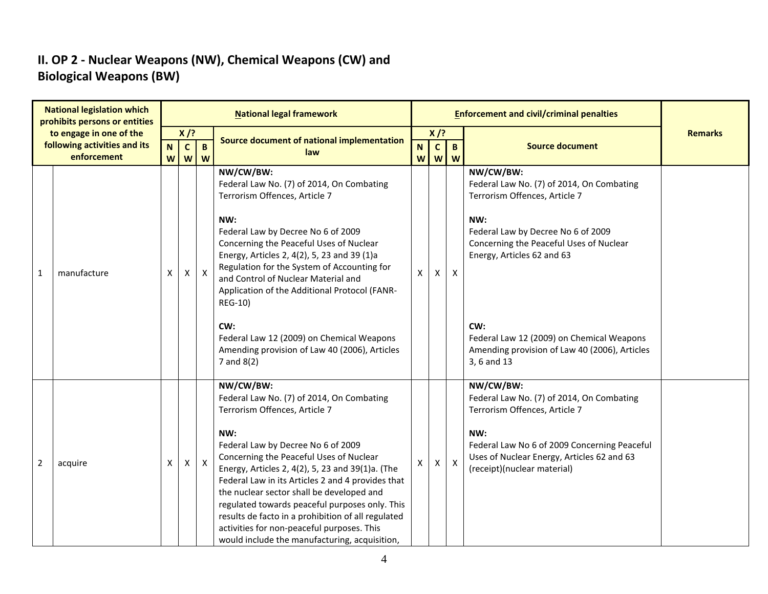### **II. OP 2 - Nuclear Weapons (NW), Chemical Weapons (CW) and Biological Weapons (BW)**

|                | <b>National legislation which</b><br>prohibits persons or entities |        |                                           |                   | <b>National legal framework</b>                                                                                                                                                                                                                                                                                                                                                                                                                                                                                                              |                                |                                           |                   | <b>Enforcement and civil/criminal penalties</b>                                                                                                                                                                                                                                                                                   |                |
|----------------|--------------------------------------------------------------------|--------|-------------------------------------------|-------------------|----------------------------------------------------------------------------------------------------------------------------------------------------------------------------------------------------------------------------------------------------------------------------------------------------------------------------------------------------------------------------------------------------------------------------------------------------------------------------------------------------------------------------------------------|--------------------------------|-------------------------------------------|-------------------|-----------------------------------------------------------------------------------------------------------------------------------------------------------------------------------------------------------------------------------------------------------------------------------------------------------------------------------|----------------|
|                | to engage in one of the                                            |        | $X$ /?                                    |                   | Source document of national implementation                                                                                                                                                                                                                                                                                                                                                                                                                                                                                                   | $X$ /?                         |                                           |                   |                                                                                                                                                                                                                                                                                                                                   | <b>Remarks</b> |
|                | following activities and its<br>enforcement                        | N<br>W | $\mathbf{C}$<br>$\boldsymbol{\mathsf{W}}$ | $\mathbf{B}$<br>W | law                                                                                                                                                                                                                                                                                                                                                                                                                                                                                                                                          | N<br>$\boldsymbol{\mathsf{W}}$ | $\mathbf{C}$<br>$\boldsymbol{\mathsf{W}}$ | $\mathbf{B}$<br>W | <b>Source document</b>                                                                                                                                                                                                                                                                                                            |                |
| 1              | manufacture                                                        | X      | X                                         | $\boldsymbol{X}$  | NW/CW/BW:<br>Federal Law No. (7) of 2014, On Combating<br>Terrorism Offences, Article 7<br>NW:<br>Federal Law by Decree No 6 of 2009<br>Concerning the Peaceful Uses of Nuclear<br>Energy, Articles 2, 4(2), 5, 23 and 39 (1)a<br>Regulation for the System of Accounting for<br>and Control of Nuclear Material and<br>Application of the Additional Protocol (FANR-<br><b>REG-10)</b><br>CW:<br>Federal Law 12 (2009) on Chemical Weapons<br>Amending provision of Law 40 (2006), Articles<br>7 and 8(2)                                   | $\pmb{\mathsf{X}}$             | X                                         | $\mathsf{X}$      | NW/CW/BW:<br>Federal Law No. (7) of 2014, On Combating<br>Terrorism Offences, Article 7<br>NW:<br>Federal Law by Decree No 6 of 2009<br>Concerning the Peaceful Uses of Nuclear<br>Energy, Articles 62 and 63<br>CW:<br>Federal Law 12 (2009) on Chemical Weapons<br>Amending provision of Law 40 (2006), Articles<br>3, 6 and 13 |                |
| $\overline{2}$ | acquire                                                            | X      | X                                         | $\boldsymbol{X}$  | NW/CW/BW:<br>Federal Law No. (7) of 2014, On Combating<br>Terrorism Offences, Article 7<br>NW:<br>Federal Law by Decree No 6 of 2009<br>Concerning the Peaceful Uses of Nuclear<br>Energy, Articles 2, 4(2), 5, 23 and 39(1)a. (The<br>Federal Law in its Articles 2 and 4 provides that<br>the nuclear sector shall be developed and<br>regulated towards peaceful purposes only. This<br>results de facto in a prohibition of all regulated<br>activities for non-peaceful purposes. This<br>would include the manufacturing, acquisition, | Χ                              | $\mathsf{X}$                              | $\mathsf{X}$      | NW/CW/BW:<br>Federal Law No. (7) of 2014, On Combating<br>Terrorism Offences, Article 7<br>NW:<br>Federal Law No 6 of 2009 Concerning Peaceful<br>Uses of Nuclear Energy, Articles 62 and 63<br>(receipt)(nuclear material)                                                                                                       |                |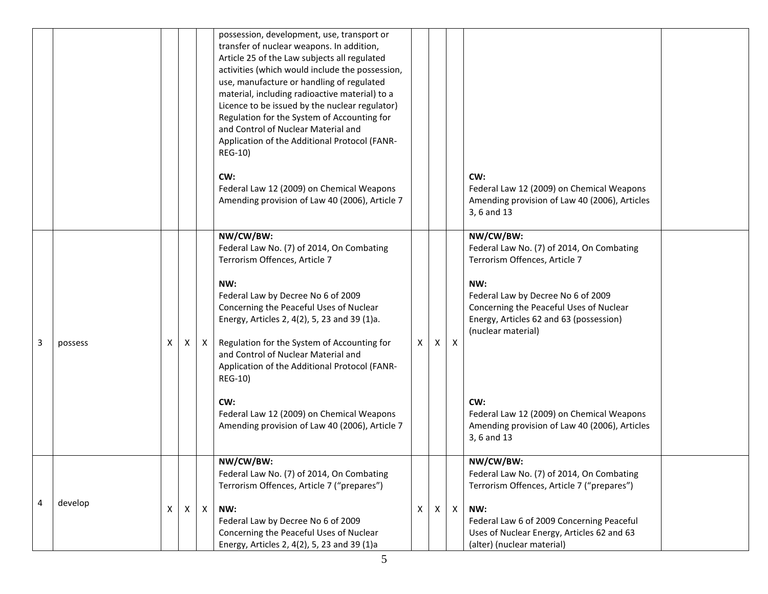|   |         |   |    |              | possession, development, use, transport or<br>transfer of nuclear weapons. In addition,<br>Article 25 of the Law subjects all regulated<br>activities (which would include the possession,<br>use, manufacture or handling of regulated<br>material, including radioactive material) to a<br>Licence to be issued by the nuclear regulator)<br>Regulation for the System of Accounting for<br>and Control of Nuclear Material and<br>Application of the Additional Protocol (FANR-<br><b>REG-10)</b> |   |              |              |                                                                                                                                                                                                                                                         |  |
|---|---------|---|----|--------------|------------------------------------------------------------------------------------------------------------------------------------------------------------------------------------------------------------------------------------------------------------------------------------------------------------------------------------------------------------------------------------------------------------------------------------------------------------------------------------------------------|---|--------------|--------------|---------------------------------------------------------------------------------------------------------------------------------------------------------------------------------------------------------------------------------------------------------|--|
|   |         |   |    |              | CW:<br>Federal Law 12 (2009) on Chemical Weapons<br>Amending provision of Law 40 (2006), Article 7                                                                                                                                                                                                                                                                                                                                                                                                   |   |              |              | CW:<br>Federal Law 12 (2009) on Chemical Weapons<br>Amending provision of Law 40 (2006), Articles<br>3, 6 and 13                                                                                                                                        |  |
| 3 | possess | X | X. | $\mathsf{X}$ | NW/CW/BW:<br>Federal Law No. (7) of 2014, On Combating<br>Terrorism Offences, Article 7<br>NW:<br>Federal Law by Decree No 6 of 2009<br>Concerning the Peaceful Uses of Nuclear<br>Energy, Articles 2, 4(2), 5, 23 and 39 (1)a.<br>Regulation for the System of Accounting for<br>and Control of Nuclear Material and<br>Application of the Additional Protocol (FANR-<br><b>REG-10)</b><br>CW:                                                                                                      | X | $\mathsf{X}$ | $\mathsf{X}$ | NW/CW/BW:<br>Federal Law No. (7) of 2014, On Combating<br>Terrorism Offences, Article 7<br>NW:<br>Federal Law by Decree No 6 of 2009<br>Concerning the Peaceful Uses of Nuclear<br>Energy, Articles 62 and 63 (possession)<br>(nuclear material)<br>CW: |  |
|   |         |   |    |              | Federal Law 12 (2009) on Chemical Weapons<br>Amending provision of Law 40 (2006), Article 7                                                                                                                                                                                                                                                                                                                                                                                                          |   |              |              | Federal Law 12 (2009) on Chemical Weapons<br>Amending provision of Law 40 (2006), Articles<br>3, 6 and 13                                                                                                                                               |  |
| 4 | develop | X | X  | $\mathsf{X}$ | NW/CW/BW:<br>Federal Law No. (7) of 2014, On Combating<br>Terrorism Offences, Article 7 ("prepares")<br>NW:<br>Federal Law by Decree No 6 of 2009<br>Concerning the Peaceful Uses of Nuclear<br>Energy, Articles 2, 4(2), 5, 23 and 39 (1)a                                                                                                                                                                                                                                                          | Χ | X            | $\mathsf{X}$ | NW/CW/BW:<br>Federal Law No. (7) of 2014, On Combating<br>Terrorism Offences, Article 7 ("prepares")<br>NW:<br>Federal Law 6 of 2009 Concerning Peaceful<br>Uses of Nuclear Energy, Articles 62 and 63<br>(alter) (nuclear material)                    |  |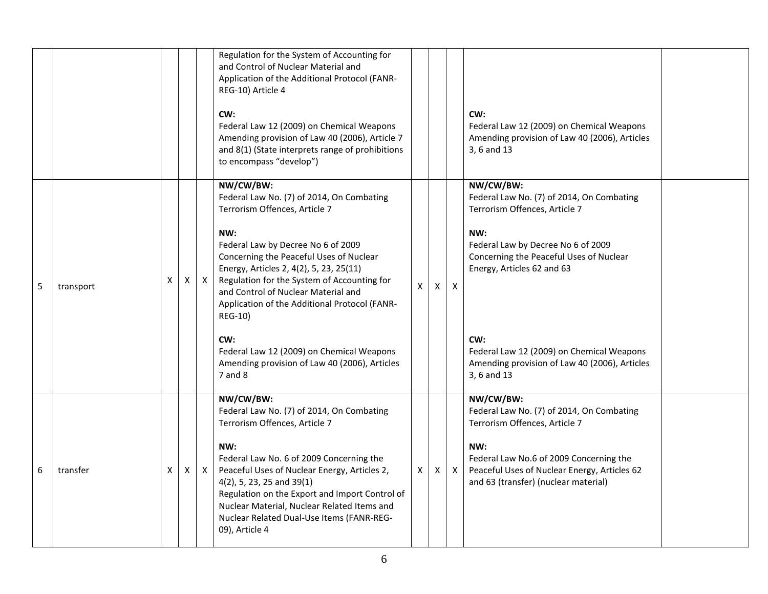|   |           |   |   |              | Regulation for the System of Accounting for<br>and Control of Nuclear Material and<br>Application of the Additional Protocol (FANR-<br>REG-10) Article 4<br>CW:<br>Federal Law 12 (2009) on Chemical Weapons<br>Amending provision of Law 40 (2006), Article 7<br>and 8(1) (State interprets range of prohibitions<br>to encompass "develop")                                                                                                                                                           |   |          |    | CW:<br>Federal Law 12 (2009) on Chemical Weapons<br>Amending provision of Law 40 (2006), Articles<br>3, 6 and 13                                                                                                                                                                                                                  |  |
|---|-----------|---|---|--------------|---------------------------------------------------------------------------------------------------------------------------------------------------------------------------------------------------------------------------------------------------------------------------------------------------------------------------------------------------------------------------------------------------------------------------------------------------------------------------------------------------------|---|----------|----|-----------------------------------------------------------------------------------------------------------------------------------------------------------------------------------------------------------------------------------------------------------------------------------------------------------------------------------|--|
| 5 | transport | Χ | X | $\mathsf{X}$ | NW/CW/BW:<br>Federal Law No. (7) of 2014, On Combating<br>Terrorism Offences, Article 7<br>NW:<br>Federal Law by Decree No 6 of 2009<br>Concerning the Peaceful Uses of Nuclear<br>Energy, Articles 2, 4(2), 5, 23, 25(11)<br>Regulation for the System of Accounting for<br>and Control of Nuclear Material and<br>Application of the Additional Protocol (FANR-<br><b>REG-10)</b><br>CW:<br>Federal Law 12 (2009) on Chemical Weapons<br>Amending provision of Law 40 (2006), Articles<br>$7$ and $8$ | X | X        | X  | NW/CW/BW:<br>Federal Law No. (7) of 2014, On Combating<br>Terrorism Offences, Article 7<br>NW:<br>Federal Law by Decree No 6 of 2009<br>Concerning the Peaceful Uses of Nuclear<br>Energy, Articles 62 and 63<br>CW:<br>Federal Law 12 (2009) on Chemical Weapons<br>Amending provision of Law 40 (2006), Articles<br>3, 6 and 13 |  |
| 6 | transfer  | X | X | $\mathsf{X}$ | NW/CW/BW:<br>Federal Law No. (7) of 2014, On Combating<br>Terrorism Offences, Article 7<br>NW:<br>Federal Law No. 6 of 2009 Concerning the<br>Peaceful Uses of Nuclear Energy, Articles 2,<br>$4(2)$ , 5, 23, 25 and 39(1)<br>Regulation on the Export and Import Control of<br>Nuclear Material, Nuclear Related Items and<br>Nuclear Related Dual-Use Items (FANR-REG-<br>09), Article 4                                                                                                              | X | $\times$ | X. | NW/CW/BW:<br>Federal Law No. (7) of 2014, On Combating<br>Terrorism Offences, Article 7<br>NW:<br>Federal Law No.6 of 2009 Concerning the<br>Peaceful Uses of Nuclear Energy, Articles 62<br>and 63 (transfer) (nuclear material)                                                                                                 |  |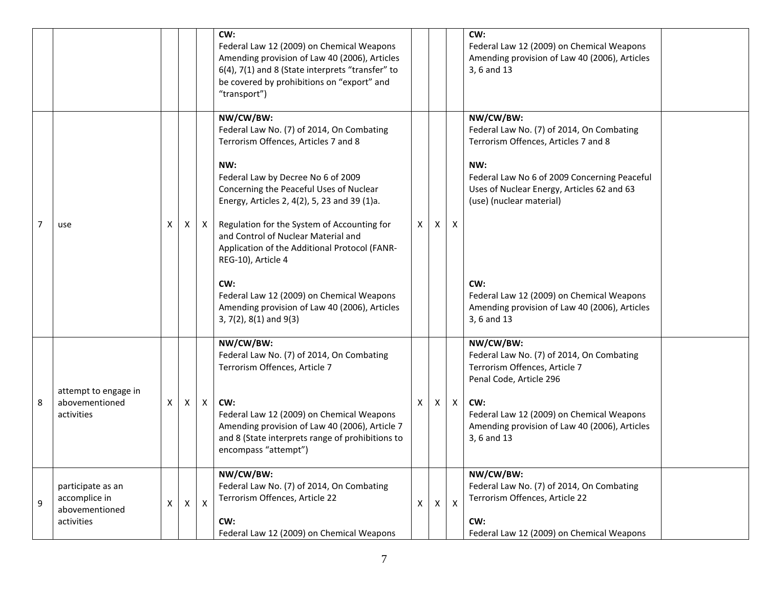|   |                                                                    |              |          |              | CW:<br>Federal Law 12 (2009) on Chemical Weapons<br>Amending provision of Law 40 (2006), Articles<br>6(4), 7(1) and 8 (State interprets "transfer" to<br>be covered by prohibitions on "export" and<br>"transport")                                                                                                                                                                                                                                                                                      |              |              |              | CW:<br>Federal Law 12 (2009) on Chemical Weapons<br>Amending provision of Law 40 (2006), Articles<br>3, 6 and 13                                                                                                                                                                                                                     |  |
|---|--------------------------------------------------------------------|--------------|----------|--------------|----------------------------------------------------------------------------------------------------------------------------------------------------------------------------------------------------------------------------------------------------------------------------------------------------------------------------------------------------------------------------------------------------------------------------------------------------------------------------------------------------------|--------------|--------------|--------------|--------------------------------------------------------------------------------------------------------------------------------------------------------------------------------------------------------------------------------------------------------------------------------------------------------------------------------------|--|
| 7 | use                                                                | X            | X I      | $\mathsf{X}$ | NW/CW/BW:<br>Federal Law No. (7) of 2014, On Combating<br>Terrorism Offences, Articles 7 and 8<br>NW:<br>Federal Law by Decree No 6 of 2009<br>Concerning the Peaceful Uses of Nuclear<br>Energy, Articles 2, 4(2), 5, 23 and 39 (1)a.<br>Regulation for the System of Accounting for<br>and Control of Nuclear Material and<br>Application of the Additional Protocol (FANR-<br>REG-10), Article 4<br>CW:<br>Federal Law 12 (2009) on Chemical Weapons<br>Amending provision of Law 40 (2006), Articles | $\times$     | $\times$     | $\mathsf{x}$ | NW/CW/BW:<br>Federal Law No. (7) of 2014, On Combating<br>Terrorism Offences, Articles 7 and 8<br>NW:<br>Federal Law No 6 of 2009 Concerning Peaceful<br>Uses of Nuclear Energy, Articles 62 and 63<br>(use) (nuclear material)<br>CW:<br>Federal Law 12 (2009) on Chemical Weapons<br>Amending provision of Law 40 (2006), Articles |  |
|   |                                                                    |              |          |              | $3, 7(2), 8(1)$ and $9(3)$<br>NW/CW/BW:<br>Federal Law No. (7) of 2014, On Combating<br>Terrorism Offences, Article 7                                                                                                                                                                                                                                                                                                                                                                                    |              |              |              | 3, 6 and 13<br>NW/CW/BW:<br>Federal Law No. (7) of 2014, On Combating<br>Terrorism Offences, Article 7                                                                                                                                                                                                                               |  |
| 8 | attempt to engage in<br>abovementioned<br>activities               | $\mathsf{X}$ | $\times$ | $\mathsf{X}$ | CW:<br>Federal Law 12 (2009) on Chemical Weapons<br>Amending provision of Law 40 (2006), Article 7<br>and 8 (State interprets range of prohibitions to<br>encompass "attempt")                                                                                                                                                                                                                                                                                                                           | X            | $\times$     | $\mathsf{X}$ | Penal Code, Article 296<br>CW:<br>Federal Law 12 (2009) on Chemical Weapons<br>Amending provision of Law 40 (2006), Articles<br>3, 6 and 13                                                                                                                                                                                          |  |
| 9 | participate as an<br>accomplice in<br>abovementioned<br>activities | X            | X        | X            | NW/CW/BW:<br>Federal Law No. (7) of 2014, On Combating<br>Terrorism Offences, Article 22<br>CW:<br>Federal Law 12 (2009) on Chemical Weapons                                                                                                                                                                                                                                                                                                                                                             | $\mathsf{X}$ | $\mathsf{X}$ | $\mathsf{X}$ | NW/CW/BW:<br>Federal Law No. (7) of 2014, On Combating<br>Terrorism Offences, Article 22<br>CW:<br>Federal Law 12 (2009) on Chemical Weapons                                                                                                                                                                                         |  |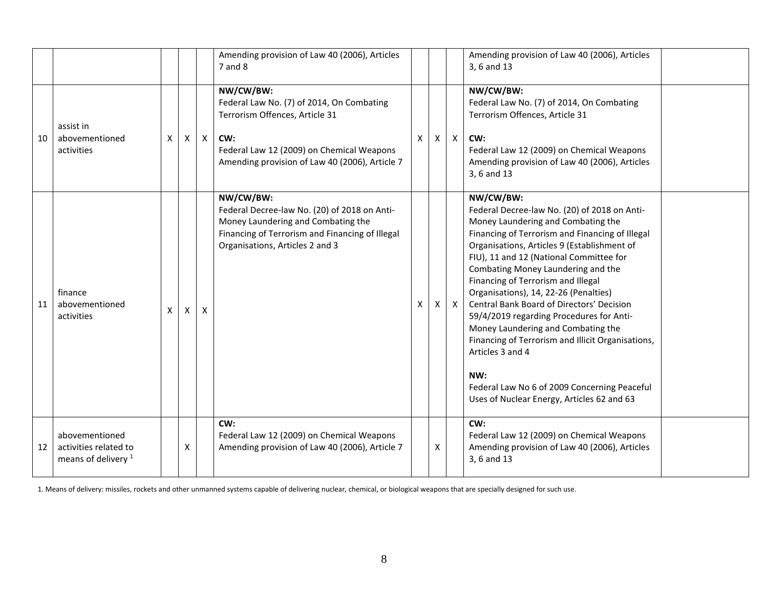|    |                                                                           |   |   |              | Amending provision of Law 40 (2006), Articles<br>$7$ and $8$                                                                                                                                   |   |              |              | Amending provision of Law 40 (2006), Articles<br>3, 6 and 13                                                                                                                                                                                                                                                                                                                                                                                                                                                                                                                                                                                                                   |  |
|----|---------------------------------------------------------------------------|---|---|--------------|------------------------------------------------------------------------------------------------------------------------------------------------------------------------------------------------|---|--------------|--------------|--------------------------------------------------------------------------------------------------------------------------------------------------------------------------------------------------------------------------------------------------------------------------------------------------------------------------------------------------------------------------------------------------------------------------------------------------------------------------------------------------------------------------------------------------------------------------------------------------------------------------------------------------------------------------------|--|
| 10 | assist in<br>abovementioned<br>activities                                 | X | X | $\mathsf{X}$ | NW/CW/BW:<br>Federal Law No. (7) of 2014, On Combating<br>Terrorism Offences, Article 31<br>CW:<br>Federal Law 12 (2009) on Chemical Weapons<br>Amending provision of Law 40 (2006), Article 7 | X | $\mathsf{X}$ | $\mathsf{X}$ | NW/CW/BW:<br>Federal Law No. (7) of 2014, On Combating<br>Terrorism Offences, Article 31<br>CW:<br>Federal Law 12 (2009) on Chemical Weapons<br>Amending provision of Law 40 (2006), Articles<br>3, 6 and 13                                                                                                                                                                                                                                                                                                                                                                                                                                                                   |  |
| 11 | finance<br>abovementioned<br>activities                                   | X | X | X            | NW/CW/BW:<br>Federal Decree-law No. (20) of 2018 on Anti-<br>Money Laundering and Combating the<br>Financing of Terrorism and Financing of Illegal<br>Organisations, Articles 2 and 3          | X | $\times$     | $\mathsf{X}$ | NW/CW/BW:<br>Federal Decree-law No. (20) of 2018 on Anti-<br>Money Laundering and Combating the<br>Financing of Terrorism and Financing of Illegal<br>Organisations, Articles 9 (Establishment of<br>FIU), 11 and 12 (National Committee for<br>Combating Money Laundering and the<br>Financing of Terrorism and Illegal<br>Organisations), 14, 22-26 (Penalties)<br>Central Bank Board of Directors' Decision<br>59/4/2019 regarding Procedures for Anti-<br>Money Laundering and Combating the<br>Financing of Terrorism and Illicit Organisations,<br>Articles 3 and 4<br>NW:<br>Federal Law No 6 of 2009 Concerning Peaceful<br>Uses of Nuclear Energy, Articles 62 and 63 |  |
| 12 | abovementioned<br>activities related to<br>means of delivery <sup>1</sup> |   | X |              | CW:<br>Federal Law 12 (2009) on Chemical Weapons<br>Amending provision of Law 40 (2006), Article 7                                                                                             |   | Χ            |              | CW:<br>Federal Law 12 (2009) on Chemical Weapons<br>Amending provision of Law 40 (2006), Articles<br>3, 6 and 13                                                                                                                                                                                                                                                                                                                                                                                                                                                                                                                                                               |  |

1. Means of delivery: missiles, rockets and other unmanned systems capable of delivering nuclear, chemical, or biological weapons that are specially designed for such use.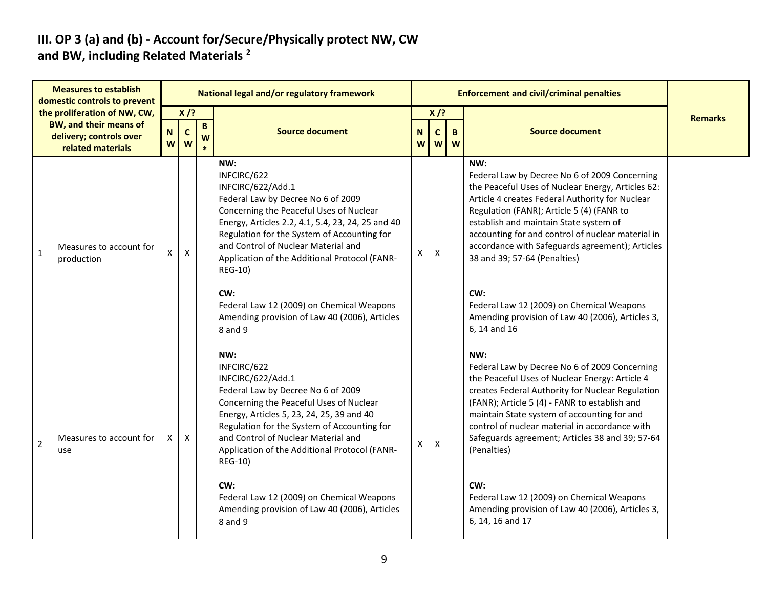#### **III. OP 3 (a) and (b) - Account for/Secure/Physically protect NW, CW and BW, including Related Materials <sup>2</sup>**

|                | <b>Measures to establish</b><br>domestic controls to prevent                                                  |                |                            |                   | <b>National legal and/or regulatory framework</b>                                                                                                                                                                                                                                                                                                                                                                                               |               |                            |         | <b>Enforcement and civil/criminal penalties</b>                                                                                                                                                                                                                                                                                                                                                                                                                                                                     |                |
|----------------|---------------------------------------------------------------------------------------------------------------|----------------|----------------------------|-------------------|-------------------------------------------------------------------------------------------------------------------------------------------------------------------------------------------------------------------------------------------------------------------------------------------------------------------------------------------------------------------------------------------------------------------------------------------------|---------------|----------------------------|---------|---------------------------------------------------------------------------------------------------------------------------------------------------------------------------------------------------------------------------------------------------------------------------------------------------------------------------------------------------------------------------------------------------------------------------------------------------------------------------------------------------------------------|----------------|
|                | the proliferation of NW, CW,<br><b>BW, and their means of</b><br>delivery; controls over<br>related materials | ${\bf N}$<br>W | $X$ /?<br>$\mathbf c$<br>W | $\mathbf{B}$<br>W | <b>Source document</b>                                                                                                                                                                                                                                                                                                                                                                                                                          | N<br><b>W</b> | $X$ /?<br>$\mathbf c$<br>W | B.<br>W | <b>Source document</b>                                                                                                                                                                                                                                                                                                                                                                                                                                                                                              | <b>Remarks</b> |
| $\mathbf{1}$   | Measures to account for<br>production                                                                         | Χ              | Χ                          |                   | NW:<br>INFCIRC/622<br>INFCIRC/622/Add.1<br>Federal Law by Decree No 6 of 2009<br>Concerning the Peaceful Uses of Nuclear<br>Energy, Articles 2.2, 4.1, 5.4, 23, 24, 25 and 40<br>Regulation for the System of Accounting for<br>and Control of Nuclear Material and<br>Application of the Additional Protocol (FANR-<br>REG-10)<br>CW:<br>Federal Law 12 (2009) on Chemical Weapons<br>Amending provision of Law 40 (2006), Articles<br>8 and 9 | Х             | X                          |         | NW:<br>Federal Law by Decree No 6 of 2009 Concerning<br>the Peaceful Uses of Nuclear Energy, Articles 62:<br>Article 4 creates Federal Authority for Nuclear<br>Regulation (FANR); Article 5 (4) (FANR to<br>establish and maintain State system of<br>accounting for and control of nuclear material in<br>accordance with Safeguards agreement); Articles<br>38 and 39; 57-64 (Penalties)<br>CW:<br>Federal Law 12 (2009) on Chemical Weapons<br>Amending provision of Law 40 (2006), Articles 3,<br>6, 14 and 16 |                |
| $\overline{2}$ | Measures to account for<br>use                                                                                | X              | X                          |                   | NW:<br>INFCIRC/622<br>INFCIRC/622/Add.1<br>Federal Law by Decree No 6 of 2009<br>Concerning the Peaceful Uses of Nuclear<br>Energy, Articles 5, 23, 24, 25, 39 and 40<br>Regulation for the System of Accounting for<br>and Control of Nuclear Material and<br>Application of the Additional Protocol (FANR-<br><b>REG-10)</b><br>CW:<br>Federal Law 12 (2009) on Chemical Weapons<br>Amending provision of Law 40 (2006), Articles<br>8 and 9  | X             | X                          |         | NW:<br>Federal Law by Decree No 6 of 2009 Concerning<br>the Peaceful Uses of Nuclear Energy: Article 4<br>creates Federal Authority for Nuclear Regulation<br>(FANR); Article 5 (4) - FANR to establish and<br>maintain State system of accounting for and<br>control of nuclear material in accordance with<br>Safeguards agreement; Articles 38 and 39; 57-64<br>(Penalties)<br>CW:<br>Federal Law 12 (2009) on Chemical Weapons<br>Amending provision of Law 40 (2006), Articles 3,<br>6, 14, 16 and 17          |                |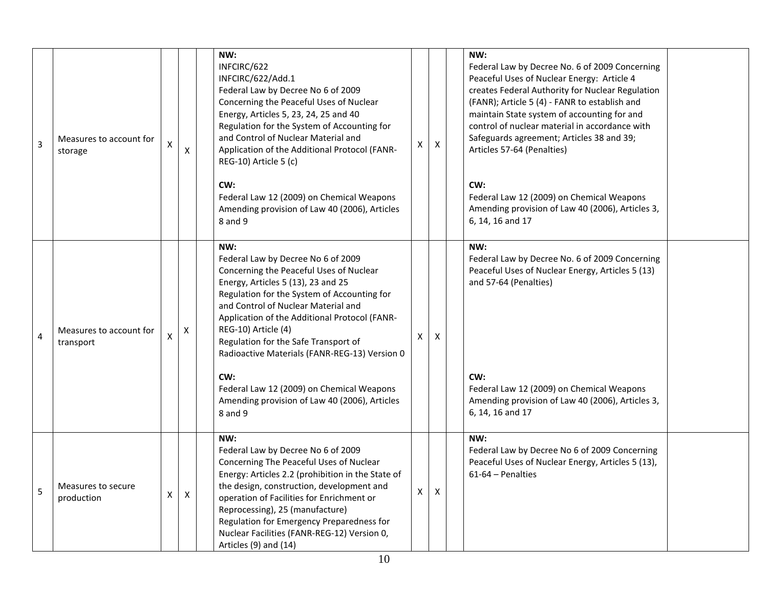| 3                       | Measures to account for<br>storage   | X | $\pmb{\mathsf{X}}$ | NW:<br>INFCIRC/622<br>INFCIRC/622/Add.1<br>Federal Law by Decree No 6 of 2009<br>Concerning the Peaceful Uses of Nuclear<br>Energy, Articles 5, 23, 24, 25 and 40<br>Regulation for the System of Accounting for<br>and Control of Nuclear Material and<br>Application of the Additional Protocol (FANR-<br>REG-10) Article 5 (c)<br>CW:<br>Federal Law 12 (2009) on Chemical Weapons<br>Amending provision of Law 40 (2006), Articles<br>8 and 9                                                 | Χ | X | NW:<br>Federal Law by Decree No. 6 of 2009 Concerning<br>Peaceful Uses of Nuclear Energy: Article 4<br>creates Federal Authority for Nuclear Regulation<br>(FANR); Article 5 (4) - FANR to establish and<br>maintain State system of accounting for and<br>control of nuclear material in accordance with<br>Safeguards agreement; Articles 38 and 39;<br>Articles 57-64 (Penalties)<br>CW:<br>Federal Law 12 (2009) on Chemical Weapons<br>Amending provision of Law 40 (2006), Articles 3,<br>6, 14, 16 and 17 |  |
|-------------------------|--------------------------------------|---|--------------------|---------------------------------------------------------------------------------------------------------------------------------------------------------------------------------------------------------------------------------------------------------------------------------------------------------------------------------------------------------------------------------------------------------------------------------------------------------------------------------------------------|---|---|------------------------------------------------------------------------------------------------------------------------------------------------------------------------------------------------------------------------------------------------------------------------------------------------------------------------------------------------------------------------------------------------------------------------------------------------------------------------------------------------------------------|--|
| $\overline{\mathbf{4}}$ | Measures to account for<br>transport | X | X                  | NW:<br>Federal Law by Decree No 6 of 2009<br>Concerning the Peaceful Uses of Nuclear<br>Energy, Articles 5 (13), 23 and 25<br>Regulation for the System of Accounting for<br>and Control of Nuclear Material and<br>Application of the Additional Protocol (FANR-<br>REG-10) Article (4)<br>Regulation for the Safe Transport of<br>Radioactive Materials (FANR-REG-13) Version 0<br>CW:<br>Federal Law 12 (2009) on Chemical Weapons<br>Amending provision of Law 40 (2006), Articles<br>8 and 9 | X | X | NW:<br>Federal Law by Decree No. 6 of 2009 Concerning<br>Peaceful Uses of Nuclear Energy, Articles 5 (13)<br>and 57-64 (Penalties)<br>CW:<br>Federal Law 12 (2009) on Chemical Weapons<br>Amending provision of Law 40 (2006), Articles 3,<br>6, 14, 16 and 17                                                                                                                                                                                                                                                   |  |
| 5                       | Measures to secure<br>production     | X | Χ                  | NW:<br>Federal Law by Decree No 6 of 2009<br>Concerning The Peaceful Uses of Nuclear<br>Energy: Articles 2.2 (prohibition in the State of<br>the design, construction, development and<br>operation of Facilities for Enrichment or<br>Reprocessing), 25 (manufacture)<br>Regulation for Emergency Preparedness for<br>Nuclear Facilities (FANR-REG-12) Version 0,<br>Articles (9) and (14)                                                                                                       | X | X | NW:<br>Federal Law by Decree No 6 of 2009 Concerning<br>Peaceful Uses of Nuclear Energy, Articles 5 (13),<br>61-64 - Penalties                                                                                                                                                                                                                                                                                                                                                                                   |  |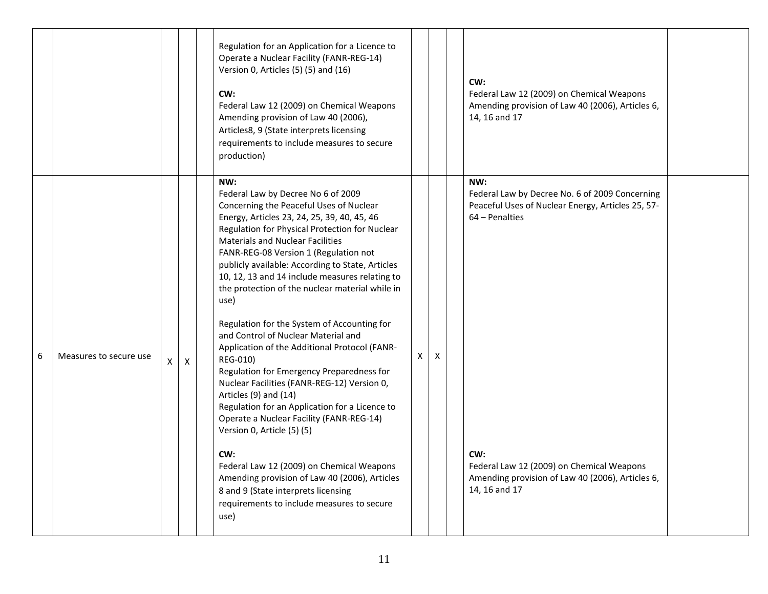|   |                        |   |                           | Regulation for an Application for a Licence to<br>Operate a Nuclear Facility (FANR-REG-14)<br>Version 0, Articles (5) (5) and (16)<br>CW:<br>Federal Law 12 (2009) on Chemical Weapons<br>Amending provision of Law 40 (2006),<br>Articles8, 9 (State interprets licensing<br>requirements to include measures to secure<br>production)                                                                                                                                                                                                                                                                                                                                                                                                                                                                                                                                                                                                                                                                                                          |   |                           | CW:<br>Federal Law 12 (2009) on Chemical Weapons<br>Amending provision of Law 40 (2006), Articles 6,<br>14, 16 and 17                                                                                                                                 |  |
|---|------------------------|---|---------------------------|--------------------------------------------------------------------------------------------------------------------------------------------------------------------------------------------------------------------------------------------------------------------------------------------------------------------------------------------------------------------------------------------------------------------------------------------------------------------------------------------------------------------------------------------------------------------------------------------------------------------------------------------------------------------------------------------------------------------------------------------------------------------------------------------------------------------------------------------------------------------------------------------------------------------------------------------------------------------------------------------------------------------------------------------------|---|---------------------------|-------------------------------------------------------------------------------------------------------------------------------------------------------------------------------------------------------------------------------------------------------|--|
| 6 | Measures to secure use | X | $\boldsymbol{\mathsf{X}}$ | NW:<br>Federal Law by Decree No 6 of 2009<br>Concerning the Peaceful Uses of Nuclear<br>Energy, Articles 23, 24, 25, 39, 40, 45, 46<br>Regulation for Physical Protection for Nuclear<br><b>Materials and Nuclear Facilities</b><br>FANR-REG-08 Version 1 (Regulation not<br>publicly available: According to State, Articles<br>10, 12, 13 and 14 include measures relating to<br>the protection of the nuclear material while in<br>use)<br>Regulation for the System of Accounting for<br>and Control of Nuclear Material and<br>Application of the Additional Protocol (FANR-<br>REG-010)<br>Regulation for Emergency Preparedness for<br>Nuclear Facilities (FANR-REG-12) Version 0,<br>Articles (9) and (14)<br>Regulation for an Application for a Licence to<br>Operate a Nuclear Facility (FANR-REG-14)<br>Version 0, Article (5) (5)<br>CW:<br>Federal Law 12 (2009) on Chemical Weapons<br>Amending provision of Law 40 (2006), Articles<br>8 and 9 (State interprets licensing<br>requirements to include measures to secure<br>use) | X | $\boldsymbol{\mathsf{X}}$ | NW:<br>Federal Law by Decree No. 6 of 2009 Concerning<br>Peaceful Uses of Nuclear Energy, Articles 25, 57-<br>64 – Penalties<br>CW:<br>Federal Law 12 (2009) on Chemical Weapons<br>Amending provision of Law 40 (2006), Articles 6,<br>14, 16 and 17 |  |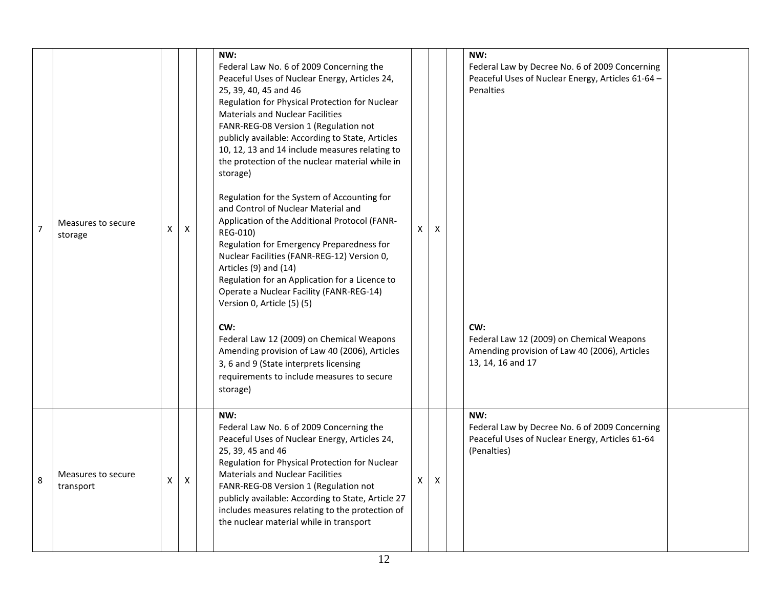| $\overline{7}$ | Measures to secure<br>storage   | $\boldsymbol{\mathsf{X}}$ | X | NW:<br>Federal Law No. 6 of 2009 Concerning the<br>Peaceful Uses of Nuclear Energy, Articles 24,<br>25, 39, 40, 45 and 46<br>Regulation for Physical Protection for Nuclear<br><b>Materials and Nuclear Facilities</b><br>FANR-REG-08 Version 1 (Regulation not<br>publicly available: According to State, Articles<br>10, 12, 13 and 14 include measures relating to<br>the protection of the nuclear material while in<br>storage)<br>Regulation for the System of Accounting for<br>and Control of Nuclear Material and<br>Application of the Additional Protocol (FANR-<br>REG-010)<br>Regulation for Emergency Preparedness for<br>Nuclear Facilities (FANR-REG-12) Version 0,<br>Articles (9) and (14)<br>Regulation for an Application for a Licence to<br>Operate a Nuclear Facility (FANR-REG-14)<br>Version 0, Article (5) (5)<br>CW:<br>Federal Law 12 (2009) on Chemical Weapons<br>Amending provision of Law 40 (2006), Articles | X | X | NW:<br>Federal Law by Decree No. 6 of 2009 Concerning<br>Peaceful Uses of Nuclear Energy, Articles 61-64 -<br>Penalties<br>CW:<br>Federal Law 12 (2009) on Chemical Weapons<br>Amending provision of Law 40 (2006), Articles |
|----------------|---------------------------------|---------------------------|---|-----------------------------------------------------------------------------------------------------------------------------------------------------------------------------------------------------------------------------------------------------------------------------------------------------------------------------------------------------------------------------------------------------------------------------------------------------------------------------------------------------------------------------------------------------------------------------------------------------------------------------------------------------------------------------------------------------------------------------------------------------------------------------------------------------------------------------------------------------------------------------------------------------------------------------------------------|---|---|------------------------------------------------------------------------------------------------------------------------------------------------------------------------------------------------------------------------------|
|                |                                 |                           |   | 3, 6 and 9 (State interprets licensing<br>requirements to include measures to secure<br>storage)                                                                                                                                                                                                                                                                                                                                                                                                                                                                                                                                                                                                                                                                                                                                                                                                                                              |   |   | 13, 14, 16 and 17                                                                                                                                                                                                            |
| 8              | Measures to secure<br>transport | X                         | X | NW:<br>Federal Law No. 6 of 2009 Concerning the<br>Peaceful Uses of Nuclear Energy, Articles 24,<br>25, 39, 45 and 46<br>Regulation for Physical Protection for Nuclear<br><b>Materials and Nuclear Facilities</b><br>FANR-REG-08 Version 1 (Regulation not<br>publicly available: According to State, Article 27<br>includes measures relating to the protection of<br>the nuclear material while in transport                                                                                                                                                                                                                                                                                                                                                                                                                                                                                                                               | X | X | NW:<br>Federal Law by Decree No. 6 of 2009 Concerning<br>Peaceful Uses of Nuclear Energy, Articles 61-64<br>(Penalties)                                                                                                      |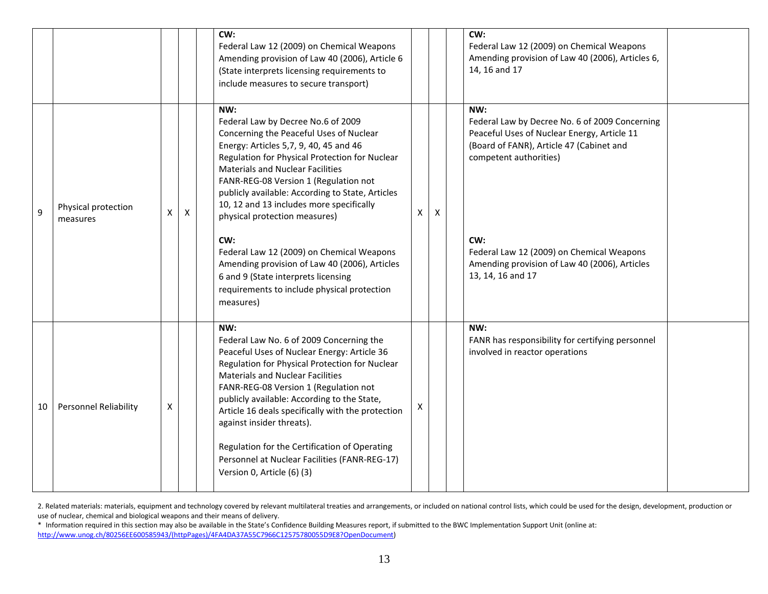|    |                                 |   |   | CW:<br>Federal Law 12 (2009) on Chemical Weapons<br>Amending provision of Law 40 (2006), Article 6<br>(State interprets licensing requirements to<br>include measures to secure transport)                                                                                                                                                                                                                                                                                                                                                                                                                    |                           |   | CW:<br>Federal Law 12 (2009) on Chemical Weapons<br>Amending provision of Law 40 (2006), Articles 6,<br>14, 16 and 17                                                                                                                                                                                |
|----|---------------------------------|---|---|---------------------------------------------------------------------------------------------------------------------------------------------------------------------------------------------------------------------------------------------------------------------------------------------------------------------------------------------------------------------------------------------------------------------------------------------------------------------------------------------------------------------------------------------------------------------------------------------------------------|---------------------------|---|------------------------------------------------------------------------------------------------------------------------------------------------------------------------------------------------------------------------------------------------------------------------------------------------------|
| 9  | Physical protection<br>measures | X | X | NW:<br>Federal Law by Decree No.6 of 2009<br>Concerning the Peaceful Uses of Nuclear<br>Energy: Articles 5,7, 9, 40, 45 and 46<br>Regulation for Physical Protection for Nuclear<br><b>Materials and Nuclear Facilities</b><br>FANR-REG-08 Version 1 (Regulation not<br>publicly available: According to State, Articles<br>10, 12 and 13 includes more specifically<br>physical protection measures)<br>CW:<br>Federal Law 12 (2009) on Chemical Weapons<br>Amending provision of Law 40 (2006), Articles<br>6 and 9 (State interprets licensing<br>requirements to include physical protection<br>measures) | X                         | X | NW:<br>Federal Law by Decree No. 6 of 2009 Concerning<br>Peaceful Uses of Nuclear Energy, Article 11<br>(Board of FANR), Article 47 (Cabinet and<br>competent authorities)<br>CW:<br>Federal Law 12 (2009) on Chemical Weapons<br>Amending provision of Law 40 (2006), Articles<br>13, 14, 16 and 17 |
| 10 | <b>Personnel Reliability</b>    | X |   | NW:<br>Federal Law No. 6 of 2009 Concerning the<br>Peaceful Uses of Nuclear Energy: Article 36<br>Regulation for Physical Protection for Nuclear<br><b>Materials and Nuclear Facilities</b><br>FANR-REG-08 Version 1 (Regulation not<br>publicly available: According to the State,<br>Article 16 deals specifically with the protection<br>against insider threats).<br>Regulation for the Certification of Operating<br>Personnel at Nuclear Facilities (FANR-REG-17)<br>Version 0, Article (6) (3)                                                                                                         | $\boldsymbol{\mathsf{x}}$ |   | NW:<br>FANR has responsibility for certifying personnel<br>involved in reactor operations                                                                                                                                                                                                            |

2. Related materials: materials, equipment and technology covered by relevant multilateral treaties and arrangements, or included on national control lists, which could be used for the design, development, production or use of nuclear, chemical and biological weapons and their means of delivery.

\* Information required in this section may also be available in the State's Confidence Building Measures report, if submitted to the BWC Implementation Support Unit (online at: [http://www.unog.ch/80256EE600585943/\(httpPages\)/4FA4DA37A55C7966C12575780055D9E8?OpenDocument\)](http://www.unog.ch/80256EE600585943/(httpPages)/4FA4DA37A55C7966C12575780055D9E8?OpenDocument)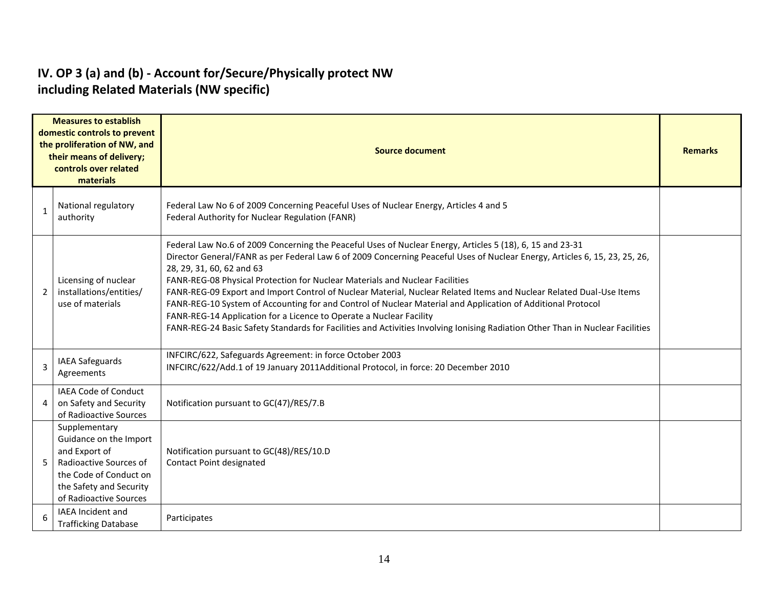#### **IV. OP 3 (a) and (b) - Account for/Secure/Physically protect NW including Related Materials (NW specific)**

| <b>Measures to establish</b><br>domestic controls to prevent<br>the proliferation of NW, and<br>their means of delivery;<br>controls over related<br>materials |                                                                                                                                                                   | <b>Source document</b>                                                                                                                                                                                                                                                                                                                                                                                                                                                                                                                                                                                                                                                                                                                                                                              | <b>Remarks</b> |  |  |  |  |  |  |
|----------------------------------------------------------------------------------------------------------------------------------------------------------------|-------------------------------------------------------------------------------------------------------------------------------------------------------------------|-----------------------------------------------------------------------------------------------------------------------------------------------------------------------------------------------------------------------------------------------------------------------------------------------------------------------------------------------------------------------------------------------------------------------------------------------------------------------------------------------------------------------------------------------------------------------------------------------------------------------------------------------------------------------------------------------------------------------------------------------------------------------------------------------------|----------------|--|--|--|--|--|--|
| $\mathbf{1}$                                                                                                                                                   | National regulatory<br>authority                                                                                                                                  | Federal Law No 6 of 2009 Concerning Peaceful Uses of Nuclear Energy, Articles 4 and 5<br>Federal Authority for Nuclear Regulation (FANR)                                                                                                                                                                                                                                                                                                                                                                                                                                                                                                                                                                                                                                                            |                |  |  |  |  |  |  |
| $\overline{2}$                                                                                                                                                 | Licensing of nuclear<br>installations/entities/<br>use of materials                                                                                               | Federal Law No.6 of 2009 Concerning the Peaceful Uses of Nuclear Energy, Articles 5 (18), 6, 15 and 23-31<br>Director General/FANR as per Federal Law 6 of 2009 Concerning Peaceful Uses of Nuclear Energy, Articles 6, 15, 23, 25, 26,<br>28, 29, 31, 60, 62 and 63<br>FANR-REG-08 Physical Protection for Nuclear Materials and Nuclear Facilities<br>FANR-REG-09 Export and Import Control of Nuclear Material, Nuclear Related Items and Nuclear Related Dual-Use Items<br>FANR-REG-10 System of Accounting for and Control of Nuclear Material and Application of Additional Protocol<br>FANR-REG-14 Application for a Licence to Operate a Nuclear Facility<br>FANR-REG-24 Basic Safety Standards for Facilities and Activities Involving Ionising Radiation Other Than in Nuclear Facilities |                |  |  |  |  |  |  |
| 3                                                                                                                                                              | <b>IAEA Safeguards</b><br>Agreements                                                                                                                              | INFCIRC/622, Safeguards Agreement: in force October 2003<br>INFCIRC/622/Add.1 of 19 January 2011Additional Protocol, in force: 20 December 2010                                                                                                                                                                                                                                                                                                                                                                                                                                                                                                                                                                                                                                                     |                |  |  |  |  |  |  |
|                                                                                                                                                                | <b>IAEA Code of Conduct</b><br>on Safety and Security<br>of Radioactive Sources                                                                                   | Notification pursuant to GC(47)/RES/7.B                                                                                                                                                                                                                                                                                                                                                                                                                                                                                                                                                                                                                                                                                                                                                             |                |  |  |  |  |  |  |
| 5                                                                                                                                                              | Supplementary<br>Guidance on the Import<br>and Export of<br>Radioactive Sources of<br>the Code of Conduct on<br>the Safety and Security<br>of Radioactive Sources | Notification pursuant to GC(48)/RES/10.D<br><b>Contact Point designated</b>                                                                                                                                                                                                                                                                                                                                                                                                                                                                                                                                                                                                                                                                                                                         |                |  |  |  |  |  |  |
|                                                                                                                                                                | <b>IAEA</b> Incident and<br><b>Trafficking Database</b>                                                                                                           | Participates                                                                                                                                                                                                                                                                                                                                                                                                                                                                                                                                                                                                                                                                                                                                                                                        |                |  |  |  |  |  |  |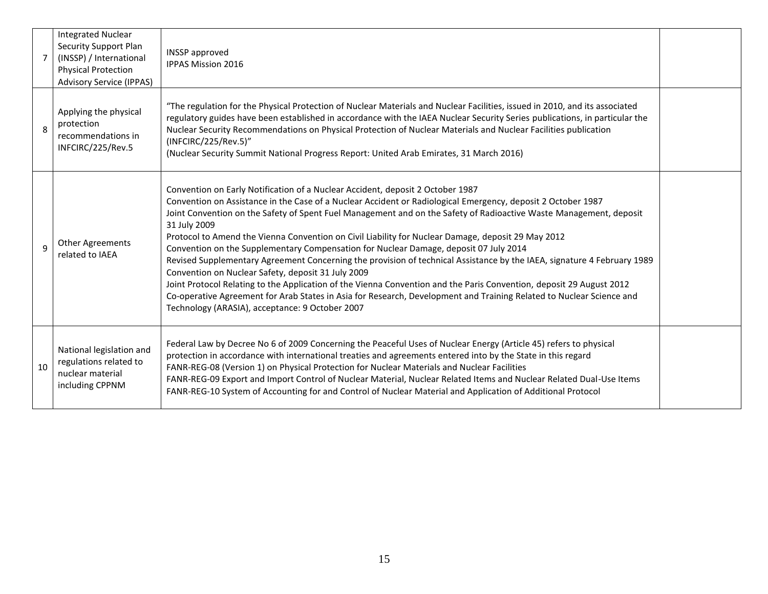| $\overline{7}$ | <b>Integrated Nuclear</b><br><b>Security Support Plan</b><br>(INSSP) / International<br>Physical Protection<br><b>Advisory Service (IPPAS)</b> | <b>INSSP</b> approved<br><b>IPPAS Mission 2016</b>                                                                                                                                                                                                                                                                                                                                                                                                                                                                                                                                                                                                                                                                                                                                                                                                                                                                                                                                                                      |  |  |  |  |  |  |
|----------------|------------------------------------------------------------------------------------------------------------------------------------------------|-------------------------------------------------------------------------------------------------------------------------------------------------------------------------------------------------------------------------------------------------------------------------------------------------------------------------------------------------------------------------------------------------------------------------------------------------------------------------------------------------------------------------------------------------------------------------------------------------------------------------------------------------------------------------------------------------------------------------------------------------------------------------------------------------------------------------------------------------------------------------------------------------------------------------------------------------------------------------------------------------------------------------|--|--|--|--|--|--|
| 8              | Applying the physical<br>protection<br>recommendations in<br>INFCIRC/225/Rev.5                                                                 | "The regulation for the Physical Protection of Nuclear Materials and Nuclear Facilities, issued in 2010, and its associated<br>regulatory guides have been established in accordance with the IAEA Nuclear Security Series publications, in particular the<br>Nuclear Security Recommendations on Physical Protection of Nuclear Materials and Nuclear Facilities publication<br>(INFCIRC/225/Rev.5)"<br>(Nuclear Security Summit National Progress Report: United Arab Emirates, 31 March 2016)                                                                                                                                                                                                                                                                                                                                                                                                                                                                                                                        |  |  |  |  |  |  |
| $\mathbf{q}$   | <b>Other Agreements</b><br>related to IAEA                                                                                                     | Convention on Early Notification of a Nuclear Accident, deposit 2 October 1987<br>Convention on Assistance in the Case of a Nuclear Accident or Radiological Emergency, deposit 2 October 1987<br>Joint Convention on the Safety of Spent Fuel Management and on the Safety of Radioactive Waste Management, deposit<br>31 July 2009<br>Protocol to Amend the Vienna Convention on Civil Liability for Nuclear Damage, deposit 29 May 2012<br>Convention on the Supplementary Compensation for Nuclear Damage, deposit 07 July 2014<br>Revised Supplementary Agreement Concerning the provision of technical Assistance by the IAEA, signature 4 February 1989<br>Convention on Nuclear Safety, deposit 31 July 2009<br>Joint Protocol Relating to the Application of the Vienna Convention and the Paris Convention, deposit 29 August 2012<br>Co-operative Agreement for Arab States in Asia for Research, Development and Training Related to Nuclear Science and<br>Technology (ARASIA), acceptance: 9 October 2007 |  |  |  |  |  |  |
| 10             | National legislation and<br>regulations related to<br>nuclear material<br>including CPPNM                                                      | Federal Law by Decree No 6 of 2009 Concerning the Peaceful Uses of Nuclear Energy (Article 45) refers to physical<br>protection in accordance with international treaties and agreements entered into by the State in this regard<br>FANR-REG-08 (Version 1) on Physical Protection for Nuclear Materials and Nuclear Facilities<br>FANR-REG-09 Export and Import Control of Nuclear Material, Nuclear Related Items and Nuclear Related Dual-Use Items<br>FANR-REG-10 System of Accounting for and Control of Nuclear Material and Application of Additional Protocol                                                                                                                                                                                                                                                                                                                                                                                                                                                  |  |  |  |  |  |  |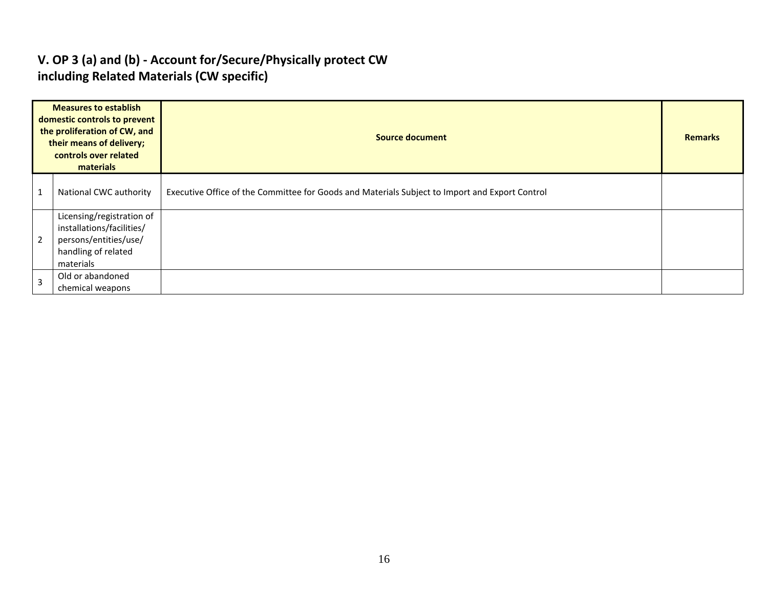#### **V. OP 3 (a) and (b) - Account for/Secure/Physically protect CW including Related Materials (CW specific)**

|   | <b>Measures to establish</b><br>domestic controls to prevent<br>the proliferation of CW, and<br>their means of delivery;<br>controls over related<br>materials | <b>Source document</b>                                                                         |  |  |  |  |  |  |
|---|----------------------------------------------------------------------------------------------------------------------------------------------------------------|------------------------------------------------------------------------------------------------|--|--|--|--|--|--|
|   | National CWC authority                                                                                                                                         | Executive Office of the Committee for Goods and Materials Subject to Import and Export Control |  |  |  |  |  |  |
| 2 | Licensing/registration of<br>installations/facilities/<br>persons/entities/use/<br>handling of related<br>materials                                            |                                                                                                |  |  |  |  |  |  |
| 3 | Old or abandoned<br>chemical weapons                                                                                                                           |                                                                                                |  |  |  |  |  |  |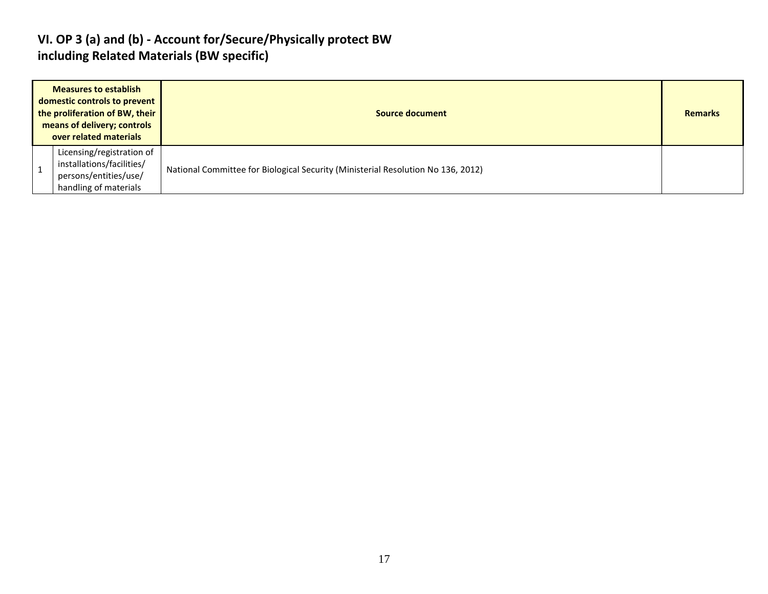### **VI. OP 3 (a) and (b) - Account for/Secure/Physically protect BW including Related Materials (BW specific)**

| <b>Measures to establish</b><br>domestic controls to prevent<br>the proliferation of BW, their<br>means of delivery; controls<br>over related materials | Source document                                                                  |  |  |  |  |  |  |
|---------------------------------------------------------------------------------------------------------------------------------------------------------|----------------------------------------------------------------------------------|--|--|--|--|--|--|
| Licensing/registration of<br>installations/facilities/<br>persons/entities/use/<br>handling of materials                                                | National Committee for Biological Security (Ministerial Resolution No 136, 2012) |  |  |  |  |  |  |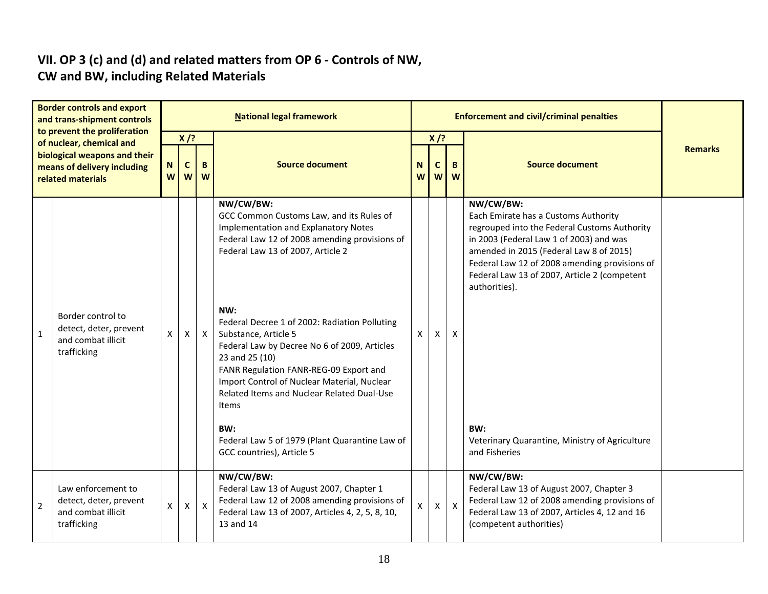#### **VII. OP 3 (c) and (d) and related matters from OP 6 - Controls of NW, CW and BW, including Related Materials**

| <b>Border controls and export</b><br>and trans-shipment controls<br>to prevent the proliferation<br>of nuclear, chemical and<br>biological weapons and their<br>means of delivery including<br>related materials |                                                                                   | <b>National legal framework</b> |                             |                   |                                                                                                                                                                                                                                                                                                       |              |                        | <b>Enforcement and civil/criminal penalties</b> |                                                                                                                                                                                                                                                                                                           |                |  |  |
|------------------------------------------------------------------------------------------------------------------------------------------------------------------------------------------------------------------|-----------------------------------------------------------------------------------|---------------------------------|-----------------------------|-------------------|-------------------------------------------------------------------------------------------------------------------------------------------------------------------------------------------------------------------------------------------------------------------------------------------------------|--------------|------------------------|-------------------------------------------------|-----------------------------------------------------------------------------------------------------------------------------------------------------------------------------------------------------------------------------------------------------------------------------------------------------------|----------------|--|--|
|                                                                                                                                                                                                                  |                                                                                   | $\mathbf N$<br>W                | $X$ /?<br>$\mathbf{C}$<br>W | $\mathbf{B}$<br>W | <b>Source document</b>                                                                                                                                                                                                                                                                                | N<br>W       | $X$ /?<br>$\mathsf{C}$ | B<br>w w                                        | <b>Source document</b>                                                                                                                                                                                                                                                                                    | <b>Remarks</b> |  |  |
|                                                                                                                                                                                                                  |                                                                                   |                                 |                             |                   | NW/CW/BW:<br>GCC Common Customs Law, and its Rules of<br><b>Implementation and Explanatory Notes</b><br>Federal Law 12 of 2008 amending provisions of<br>Federal Law 13 of 2007, Article 2                                                                                                            |              |                        |                                                 | NW/CW/BW:<br>Each Emirate has a Customs Authority<br>regrouped into the Federal Customs Authority<br>in 2003 (Federal Law 1 of 2003) and was<br>amended in 2015 (Federal Law 8 of 2015)<br>Federal Law 12 of 2008 amending provisions of<br>Federal Law 13 of 2007, Article 2 (competent<br>authorities). |                |  |  |
| $\mathbf{1}$                                                                                                                                                                                                     | Border control to<br>detect, deter, prevent<br>and combat illicit<br>trafficking  | $\times$                        | X                           | $\mathsf{X}$      | NW:<br>Federal Decree 1 of 2002: Radiation Polluting<br>Substance, Article 5<br>Federal Law by Decree No 6 of 2009, Articles<br>23 and 25 (10)<br>FANR Regulation FANR-REG-09 Export and<br>Import Control of Nuclear Material, Nuclear<br>Related Items and Nuclear Related Dual-Use<br><b>Items</b> | X            | X                      | $\boldsymbol{\mathsf{X}}$                       |                                                                                                                                                                                                                                                                                                           |                |  |  |
|                                                                                                                                                                                                                  |                                                                                   |                                 |                             |                   | BW:<br>Federal Law 5 of 1979 (Plant Quarantine Law of<br>GCC countries), Article 5                                                                                                                                                                                                                    |              |                        |                                                 | BW:<br>Veterinary Quarantine, Ministry of Agriculture<br>and Fisheries                                                                                                                                                                                                                                    |                |  |  |
| $\overline{2}$                                                                                                                                                                                                   | Law enforcement to<br>detect, deter, prevent<br>and combat illicit<br>trafficking | $\pmb{\mathsf{X}}$              | $\mathsf{X}^-$              | $\mathsf{X}$      | NW/CW/BW:<br>Federal Law 13 of August 2007, Chapter 1<br>Federal Law 12 of 2008 amending provisions of<br>Federal Law 13 of 2007, Articles 4, 2, 5, 8, 10,<br>13 and 14                                                                                                                               | $\mathsf{X}$ | $\mathsf{X}$           | $\mathsf{x}$                                    | NW/CW/BW:<br>Federal Law 13 of August 2007, Chapter 3<br>Federal Law 12 of 2008 amending provisions of<br>Federal Law 13 of 2007, Articles 4, 12 and 16<br>(competent authorities)                                                                                                                        |                |  |  |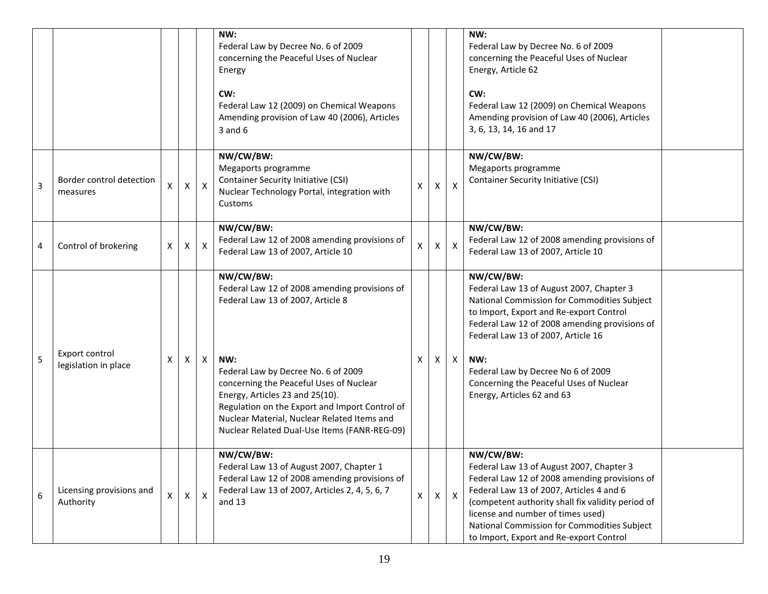|       |                                        |   |              |              | NW:<br>Federal Law by Decree No. 6 of 2009<br>concerning the Peaceful Uses of Nuclear<br>Energy<br>CW:<br>Federal Law 12 (2009) on Chemical Weapons<br>Amending provision of Law 40 (2006), Articles<br>$3$ and $6$                                                       |              |              |                           | NW:<br>Federal Law by Decree No. 6 of 2009<br>concerning the Peaceful Uses of Nuclear<br>Energy, Article 62<br>CW:<br>Federal Law 12 (2009) on Chemical Weapons<br>Amending provision of Law 40 (2006), Articles<br>3, 6, 13, 14, 16 and 17                                                                                            |
|-------|----------------------------------------|---|--------------|--------------|---------------------------------------------------------------------------------------------------------------------------------------------------------------------------------------------------------------------------------------------------------------------------|--------------|--------------|---------------------------|----------------------------------------------------------------------------------------------------------------------------------------------------------------------------------------------------------------------------------------------------------------------------------------------------------------------------------------|
| 3     | Border control detection<br>measures   | X | $\mathsf X$  | $\mathsf{X}$ | NW/CW/BW:<br>Megaports programme<br><b>Container Security Initiative (CSI)</b><br>Nuclear Technology Portal, integration with<br>Customs                                                                                                                                  | X            | Χ            | $\boldsymbol{\mathsf{X}}$ | NW/CW/BW:<br>Megaports programme<br><b>Container Security Initiative (CSI)</b>                                                                                                                                                                                                                                                         |
| 4     | Control of brokering                   | X | $\mathsf{X}$ | $\mathbf{X}$ | NW/CW/BW:<br>Federal Law 12 of 2008 amending provisions of<br>Federal Law 13 of 2007, Article 10                                                                                                                                                                          | X.           | $\mathsf{X}$ | $\boldsymbol{\mathsf{X}}$ | NW/CW/BW:<br>Federal Law 12 of 2008 amending provisions of<br>Federal Law 13 of 2007, Article 10                                                                                                                                                                                                                                       |
|       |                                        |   |              |              | NW/CW/BW:<br>Federal Law 12 of 2008 amending provisions of<br>Federal Law 13 of 2007, Article 8                                                                                                                                                                           |              |              |                           | NW/CW/BW:<br>Federal Law 13 of August 2007, Chapter 3<br>National Commission for Commodities Subject<br>to Import, Export and Re-export Control<br>Federal Law 12 of 2008 amending provisions of<br>Federal Law 13 of 2007, Article 16                                                                                                 |
| 5     | Export control<br>legislation in place | X | $\mathsf{X}$ | $\mathsf{X}$ | NW:<br>Federal Law by Decree No. 6 of 2009<br>concerning the Peaceful Uses of Nuclear<br>Energy, Articles 23 and 25(10).<br>Regulation on the Export and Import Control of<br>Nuclear Material, Nuclear Related Items and<br>Nuclear Related Dual-Use Items (FANR-REG-09) | X.           | X            | $\mathsf{X}$              | NW:<br>Federal Law by Decree No 6 of 2009<br>Concerning the Peaceful Uses of Nuclear<br>Energy, Articles 62 and 63                                                                                                                                                                                                                     |
| $6\,$ | Licensing provisions and<br>Authority  | X | $\mathsf{X}$ | $\mathsf{X}$ | NW/CW/BW:<br>Federal Law 13 of August 2007, Chapter 1<br>Federal Law 12 of 2008 amending provisions of<br>Federal Law 13 of 2007, Articles 2, 4, 5, 6, 7<br>and 13                                                                                                        | $\mathsf{X}$ | $\times$     | $\mathsf{X}$              | NW/CW/BW:<br>Federal Law 13 of August 2007, Chapter 3<br>Federal Law 12 of 2008 amending provisions of<br>Federal Law 13 of 2007, Articles 4 and 6<br>(competent authority shall fix validity period of<br>license and number of times used)<br>National Commission for Commodities Subject<br>to Import, Export and Re-export Control |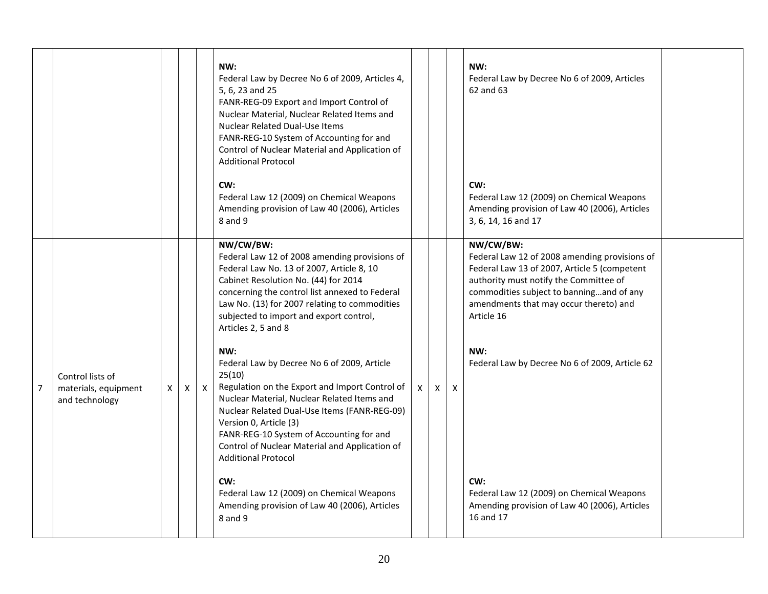|                                                                              |              |   |              | NW:<br>Federal Law by Decree No 6 of 2009, Articles 4,<br>5, 6, 23 and 25<br>FANR-REG-09 Export and Import Control of<br>Nuclear Material, Nuclear Related Items and<br><b>Nuclear Related Dual-Use Items</b><br>FANR-REG-10 System of Accounting for and<br>Control of Nuclear Material and Application of<br><b>Additional Protocol</b><br>CW:<br>Federal Law 12 (2009) on Chemical Weapons<br>Amending provision of Law 40 (2006), Articles<br>8 and 9                                                                                                                                                                                                                                                                                                                                                   |                |   |   | NW:<br>Federal Law by Decree No 6 of 2009, Articles<br>62 and 63<br>CW:<br>Federal Law 12 (2009) on Chemical Weapons<br>Amending provision of Law 40 (2006), Articles<br>3, 6, 14, 16 and 17                                                                                                                                                                                                                                        |  |
|------------------------------------------------------------------------------|--------------|---|--------------|-------------------------------------------------------------------------------------------------------------------------------------------------------------------------------------------------------------------------------------------------------------------------------------------------------------------------------------------------------------------------------------------------------------------------------------------------------------------------------------------------------------------------------------------------------------------------------------------------------------------------------------------------------------------------------------------------------------------------------------------------------------------------------------------------------------|----------------|---|---|-------------------------------------------------------------------------------------------------------------------------------------------------------------------------------------------------------------------------------------------------------------------------------------------------------------------------------------------------------------------------------------------------------------------------------------|--|
| Control lists of<br>$\overline{7}$<br>materials, equipment<br>and technology | $\mathsf{X}$ | X | $\mathsf{X}$ | NW/CW/BW:<br>Federal Law 12 of 2008 amending provisions of<br>Federal Law No. 13 of 2007, Article 8, 10<br>Cabinet Resolution No. (44) for 2014<br>concerning the control list annexed to Federal<br>Law No. (13) for 2007 relating to commodities<br>subjected to import and export control,<br>Articles 2, 5 and 8<br>NW:<br>Federal Law by Decree No 6 of 2009, Article<br>25(10)<br>Regulation on the Export and Import Control of<br>Nuclear Material, Nuclear Related Items and<br>Nuclear Related Dual-Use Items (FANR-REG-09)<br>Version 0, Article (3)<br>FANR-REG-10 System of Accounting for and<br>Control of Nuclear Material and Application of<br><b>Additional Protocol</b><br>CW:<br>Federal Law 12 (2009) on Chemical Weapons<br>Amending provision of Law 40 (2006), Articles<br>8 and 9 | $\mathsf{X}^-$ | X | X | NW/CW/BW:<br>Federal Law 12 of 2008 amending provisions of<br>Federal Law 13 of 2007, Article 5 (competent<br>authority must notify the Committee of<br>commodities subject to banningand of any<br>amendments that may occur thereto) and<br>Article 16<br>NW:<br>Federal Law by Decree No 6 of 2009, Article 62<br>CW:<br>Federal Law 12 (2009) on Chemical Weapons<br>Amending provision of Law 40 (2006), Articles<br>16 and 17 |  |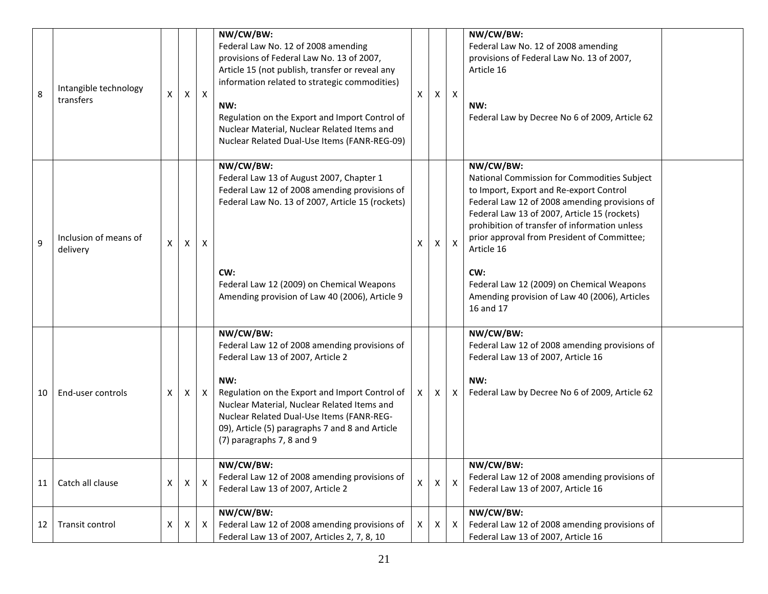| 8  | Intangible technology<br>transfers | X | X              | $\boldsymbol{\mathsf{X}}$ | NW/CW/BW:<br>Federal Law No. 12 of 2008 amending<br>provisions of Federal Law No. 13 of 2007,<br>Article 15 (not publish, transfer or reveal any<br>information related to strategic commodities)<br>NW:<br>Regulation on the Export and Import Control of<br>Nuclear Material, Nuclear Related Items and<br>Nuclear Related Dual-Use Items (FANR-REG-09) | X  | X  | $\boldsymbol{\mathsf{X}}$ | NW/CW/BW:<br>Federal Law No. 12 of 2008 amending<br>provisions of Federal Law No. 13 of 2007,<br>Article 16<br>NW:<br>Federal Law by Decree No 6 of 2009, Article 62                                                                                                                                                                                                                                                                 |  |
|----|------------------------------------|---|----------------|---------------------------|-----------------------------------------------------------------------------------------------------------------------------------------------------------------------------------------------------------------------------------------------------------------------------------------------------------------------------------------------------------|----|----|---------------------------|--------------------------------------------------------------------------------------------------------------------------------------------------------------------------------------------------------------------------------------------------------------------------------------------------------------------------------------------------------------------------------------------------------------------------------------|--|
| 9  | Inclusion of means of<br>delivery  | X | $\pmb{\times}$ | X                         | NW/CW/BW:<br>Federal Law 13 of August 2007, Chapter 1<br>Federal Law 12 of 2008 amending provisions of<br>Federal Law No. 13 of 2007, Article 15 (rockets)<br>CW:<br>Federal Law 12 (2009) on Chemical Weapons<br>Amending provision of Law 40 (2006), Article 9                                                                                          | X  | X  | $\pmb{\times}$            | NW/CW/BW:<br>National Commission for Commodities Subject<br>to Import, Export and Re-export Control<br>Federal Law 12 of 2008 amending provisions of<br>Federal Law 13 of 2007, Article 15 (rockets)<br>prohibition of transfer of information unless<br>prior approval from President of Committee;<br>Article 16<br>CW:<br>Federal Law 12 (2009) on Chemical Weapons<br>Amending provision of Law 40 (2006), Articles<br>16 and 17 |  |
| 10 | End-user controls                  | X | X              | $\mathsf{X}$              | NW/CW/BW:<br>Federal Law 12 of 2008 amending provisions of<br>Federal Law 13 of 2007, Article 2<br>NW:<br>Regulation on the Export and Import Control of<br>Nuclear Material, Nuclear Related Items and<br>Nuclear Related Dual-Use Items (FANR-REG-<br>09), Article (5) paragraphs 7 and 8 and Article<br>(7) paragraphs 7, 8 and 9                      | X. | X. | X                         | NW/CW/BW:<br>Federal Law 12 of 2008 amending provisions of<br>Federal Law 13 of 2007, Article 16<br>NW:<br>Federal Law by Decree No 6 of 2009, Article 62                                                                                                                                                                                                                                                                            |  |
| 11 | Catch all clause                   | X | X              | X                         | NW/CW/BW:<br>Federal Law 12 of 2008 amending provisions of<br>Federal Law 13 of 2007, Article 2                                                                                                                                                                                                                                                           | X  | Χ  | $\times$                  | NW/CW/BW:<br>Federal Law 12 of 2008 amending provisions of<br>Federal Law 13 of 2007, Article 16                                                                                                                                                                                                                                                                                                                                     |  |
| 12 | Transit control                    | Χ | X              | X                         | NW/CW/BW:<br>Federal Law 12 of 2008 amending provisions of<br>Federal Law 13 of 2007, Articles 2, 7, 8, 10                                                                                                                                                                                                                                                | X. | X  | X                         | NW/CW/BW:<br>Federal Law 12 of 2008 amending provisions of<br>Federal Law 13 of 2007, Article 16                                                                                                                                                                                                                                                                                                                                     |  |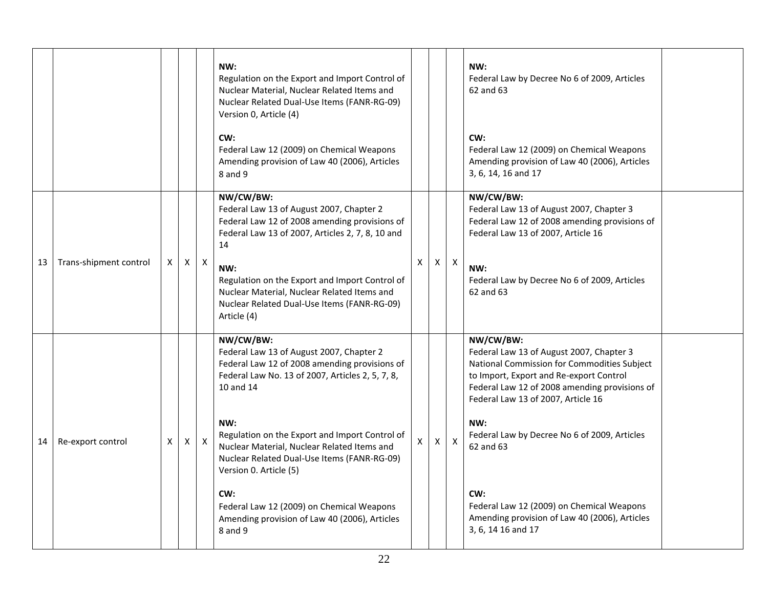|    |                        |   |                |              | NW:<br>Regulation on the Export and Import Control of<br>Nuclear Material, Nuclear Related Items and<br>Nuclear Related Dual-Use Items (FANR-RG-09)<br>Version 0, Article (4)<br>CW:<br>Federal Law 12 (2009) on Chemical Weapons<br>Amending provision of Law 40 (2006), Articles<br>8 and 9                                                                                                                                                                            |   |    |              | NW:<br>Federal Law by Decree No 6 of 2009, Articles<br>62 and 63<br>CW:<br>Federal Law 12 (2009) on Chemical Weapons<br>Amending provision of Law 40 (2006), Articles<br>3, 6, 14, 16 and 17                                                                                                                                                                                                                                          |  |
|----|------------------------|---|----------------|--------------|--------------------------------------------------------------------------------------------------------------------------------------------------------------------------------------------------------------------------------------------------------------------------------------------------------------------------------------------------------------------------------------------------------------------------------------------------------------------------|---|----|--------------|---------------------------------------------------------------------------------------------------------------------------------------------------------------------------------------------------------------------------------------------------------------------------------------------------------------------------------------------------------------------------------------------------------------------------------------|--|
| 13 | Trans-shipment control | X | $\mathsf{X}^-$ | $\mathsf{X}$ | NW/CW/BW:<br>Federal Law 13 of August 2007, Chapter 2<br>Federal Law 12 of 2008 amending provisions of<br>Federal Law 13 of 2007, Articles 2, 7, 8, 10 and<br>14<br>NW:<br>Regulation on the Export and Import Control of<br>Nuclear Material, Nuclear Related Items and<br>Nuclear Related Dual-Use Items (FANR-RG-09)<br>Article (4)                                                                                                                                   | X | X. | $\mathsf{X}$ | NW/CW/BW:<br>Federal Law 13 of August 2007, Chapter 3<br>Federal Law 12 of 2008 amending provisions of<br>Federal Law 13 of 2007, Article 16<br>NW:<br>Federal Law by Decree No 6 of 2009, Articles<br>62 and 63                                                                                                                                                                                                                      |  |
| 14 | Re-export control      | X |                | $X \mid X$   | NW/CW/BW:<br>Federal Law 13 of August 2007, Chapter 2<br>Federal Law 12 of 2008 amending provisions of<br>Federal Law No. 13 of 2007, Articles 2, 5, 7, 8,<br>10 and 14<br>NW:<br>Regulation on the Export and Import Control of<br>Nuclear Material, Nuclear Related Items and<br>Nuclear Related Dual-Use Items (FANR-RG-09)<br>Version 0. Article (5)<br>CW:<br>Federal Law 12 (2009) on Chemical Weapons<br>Amending provision of Law 40 (2006), Articles<br>8 and 9 | X | X  | $\mathsf{X}$ | NW/CW/BW:<br>Federal Law 13 of August 2007, Chapter 3<br>National Commission for Commodities Subject<br>to Import, Export and Re-export Control<br>Federal Law 12 of 2008 amending provisions of<br>Federal Law 13 of 2007, Article 16<br>NW:<br>Federal Law by Decree No 6 of 2009, Articles<br>62 and 63<br>CW:<br>Federal Law 12 (2009) on Chemical Weapons<br>Amending provision of Law 40 (2006), Articles<br>3, 6, 14 16 and 17 |  |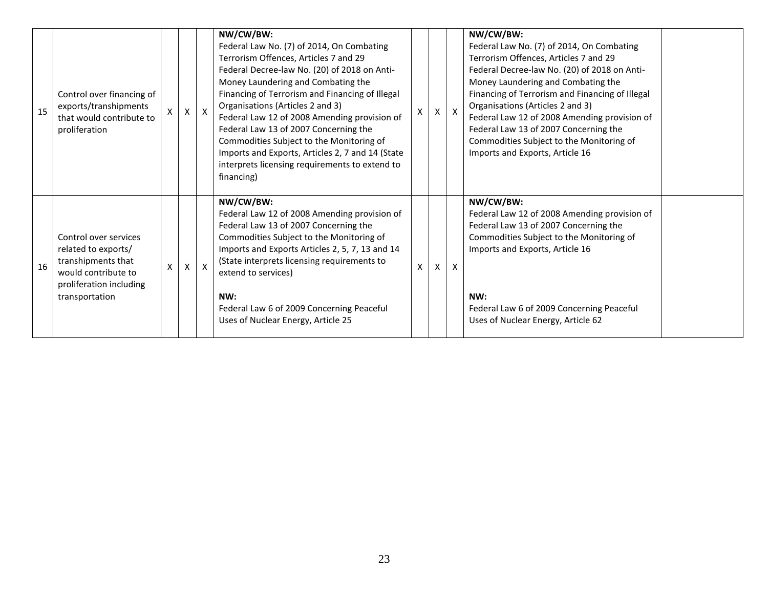| 15 | Control over financing of<br>exports/transhipments<br>that would contribute to<br>proliferation                                        |   | Χ | $\mathsf{X}$     | NW/CW/BW:<br>Federal Law No. (7) of 2014, On Combating<br>Terrorism Offences, Articles 7 and 29<br>Federal Decree-law No. (20) of 2018 on Anti-<br>Money Laundering and Combating the<br>Financing of Terrorism and Financing of Illegal<br>Organisations (Articles 2 and 3)<br>Federal Law 12 of 2008 Amending provision of<br>Federal Law 13 of 2007 Concerning the<br>Commodities Subject to the Monitoring of<br>Imports and Exports, Articles 2, 7 and 14 (State<br>interprets licensing requirements to extend to<br>financing) | X | X | $\mathsf{X}$              | NW/CW/BW:<br>Federal Law No. (7) of 2014, On Combating<br>Terrorism Offences, Articles 7 and 29<br>Federal Decree-law No. (20) of 2018 on Anti-<br>Money Laundering and Combating the<br>Financing of Terrorism and Financing of Illegal<br>Organisations (Articles 2 and 3)<br>Federal Law 12 of 2008 Amending provision of<br>Federal Law 13 of 2007 Concerning the<br>Commodities Subject to the Monitoring of<br>Imports and Exports, Article 16 |  |
|----|----------------------------------------------------------------------------------------------------------------------------------------|---|---|------------------|---------------------------------------------------------------------------------------------------------------------------------------------------------------------------------------------------------------------------------------------------------------------------------------------------------------------------------------------------------------------------------------------------------------------------------------------------------------------------------------------------------------------------------------|---|---|---------------------------|------------------------------------------------------------------------------------------------------------------------------------------------------------------------------------------------------------------------------------------------------------------------------------------------------------------------------------------------------------------------------------------------------------------------------------------------------|--|
| 16 | Control over services<br>related to exports/<br>transhipments that<br>would contribute to<br>proliferation including<br>transportation | x |   | $\boldsymbol{X}$ | NW/CW/BW:<br>Federal Law 12 of 2008 Amending provision of<br>Federal Law 13 of 2007 Concerning the<br>Commodities Subject to the Monitoring of<br>Imports and Exports Articles 2, 5, 7, 13 and 14<br>(State interprets licensing requirements to<br>extend to services)<br>NW:<br>Federal Law 6 of 2009 Concerning Peaceful<br>Uses of Nuclear Energy, Article 25                                                                                                                                                                     | X | X | $\boldsymbol{\mathsf{X}}$ | NW/CW/BW:<br>Federal Law 12 of 2008 Amending provision of<br>Federal Law 13 of 2007 Concerning the<br>Commodities Subject to the Monitoring of<br>Imports and Exports, Article 16<br>NW:<br>Federal Law 6 of 2009 Concerning Peaceful<br>Uses of Nuclear Energy, Article 62                                                                                                                                                                          |  |